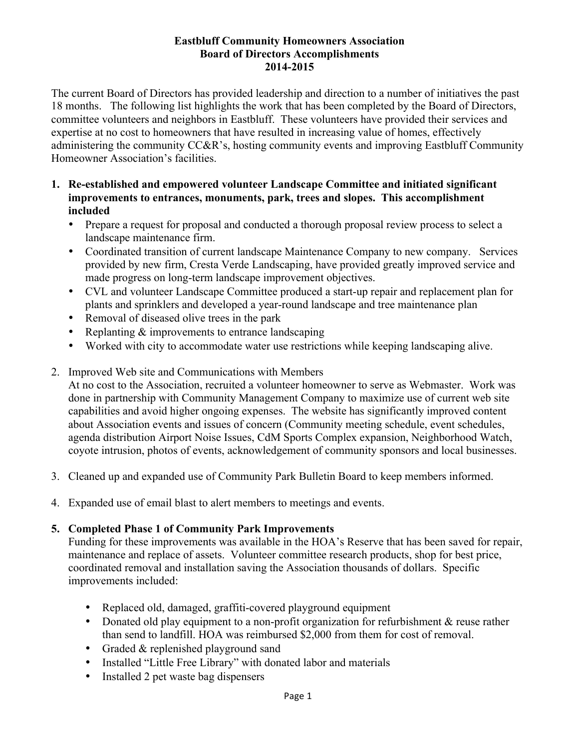## **Eastbluff Community Homeowners Association Board of Directors Accomplishments 2014-2015**

The current Board of Directors has provided leadership and direction to a number of initiatives the past 18 months. The following list highlights the work that has been completed by the Board of Directors, committee volunteers and neighbors in Eastbluff. These volunteers have provided their services and expertise at no cost to homeowners that have resulted in increasing value of homes, effectively administering the community CC&R's, hosting community events and improving Eastbluff Community Homeowner Association's facilities.

## **1. Re-established and empowered volunteer Landscape Committee and initiated significant improvements to entrances, monuments, park, trees and slopes. This accomplishment included**

- Prepare a request for proposal and conducted a thorough proposal review process to select a landscape maintenance firm.
- Coordinated transition of current landscape Maintenance Company to new company. Services provided by new firm, Cresta Verde Landscaping, have provided greatly improved service and made progress on long-term landscape improvement objectives.
- CVL and volunteer Landscape Committee produced a start-up repair and replacement plan for plants and sprinklers and developed a year-round landscape and tree maintenance plan
- Removal of diseased olive trees in the park
- Replanting  $&$  improvements to entrance landscaping
- Worked with city to accommodate water use restrictions while keeping landscaping alive.
- 2. Improved Web site and Communications with Members

At no cost to the Association, recruited a volunteer homeowner to serve as Webmaster. Work was done in partnership with Community Management Company to maximize use of current web site capabilities and avoid higher ongoing expenses. The website has significantly improved content about Association events and issues of concern (Community meeting schedule, event schedules, agenda distribution Airport Noise Issues, CdM Sports Complex expansion, Neighborhood Watch, coyote intrusion, photos of events, acknowledgement of community sponsors and local businesses.

- 3. Cleaned up and expanded use of Community Park Bulletin Board to keep members informed.
- 4. Expanded use of email blast to alert members to meetings and events.

## **5. Completed Phase 1 of Community Park Improvements**

Funding for these improvements was available in the HOA's Reserve that has been saved for repair, maintenance and replace of assets. Volunteer committee research products, shop for best price, coordinated removal and installation saving the Association thousands of dollars. Specific improvements included:

- Replaced old, damaged, graffiti-covered playground equipment
- Donated old play equipment to a non-profit organization for refurbishment & reuse rather than send to landfill. HOA was reimbursed \$2,000 from them for cost of removal.
- Graded & replenished playground sand
- Installed "Little Free Library" with donated labor and materials
- Installed 2 pet waste bag dispensers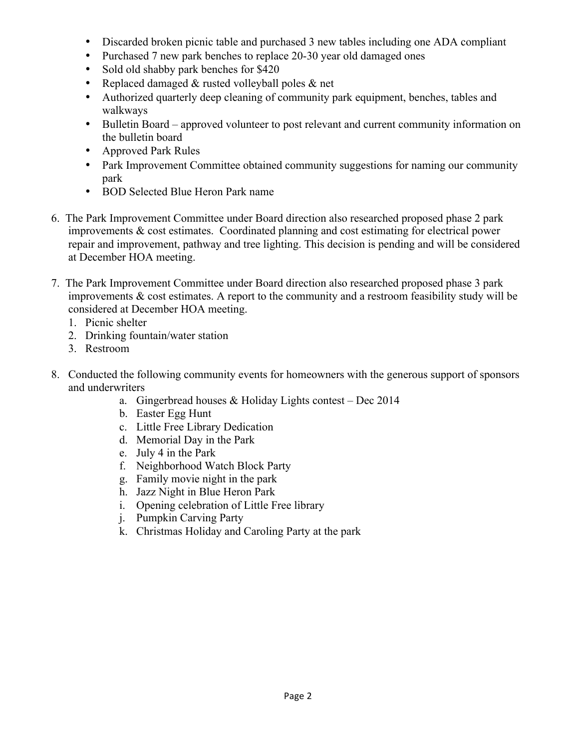- Discarded broken picnic table and purchased 3 new tables including one ADA compliant
- Purchased 7 new park benches to replace 20-30 year old damaged ones
- Sold old shabby park benches for \$420
- Replaced damaged & rusted volleyball poles & net
- Authorized quarterly deep cleaning of community park equipment, benches, tables and walkways
- Bulletin Board approved volunteer to post relevant and current community information on the bulletin board
- Approved Park Rules
- Park Improvement Committee obtained community suggestions for naming our community park
- BOD Selected Blue Heron Park name
- 6. The Park Improvement Committee under Board direction also researched proposed phase 2 park improvements & cost estimates. Coordinated planning and cost estimating for electrical power repair and improvement, pathway and tree lighting. This decision is pending and will be considered at December HOA meeting.
- 7. The Park Improvement Committee under Board direction also researched proposed phase 3 park improvements & cost estimates. A report to the community and a restroom feasibility study will be considered at December HOA meeting.
	- 1. Picnic shelter
	- 2. Drinking fountain/water station
	- 3. Restroom
- 8. Conducted the following community events for homeowners with the generous support of sponsors and underwriters
	- a. Gingerbread houses  $&$  Holiday Lights contest Dec 2014
	- b. Easter Egg Hunt
	- c. Little Free Library Dedication
	- d. Memorial Day in the Park
	- e. July 4 in the Park
	- f. Neighborhood Watch Block Party
	- g. Family movie night in the park
	- h. Jazz Night in Blue Heron Park
	- i. Opening celebration of Little Free library
	- j. Pumpkin Carving Party
	- k. Christmas Holiday and Caroling Party at the park